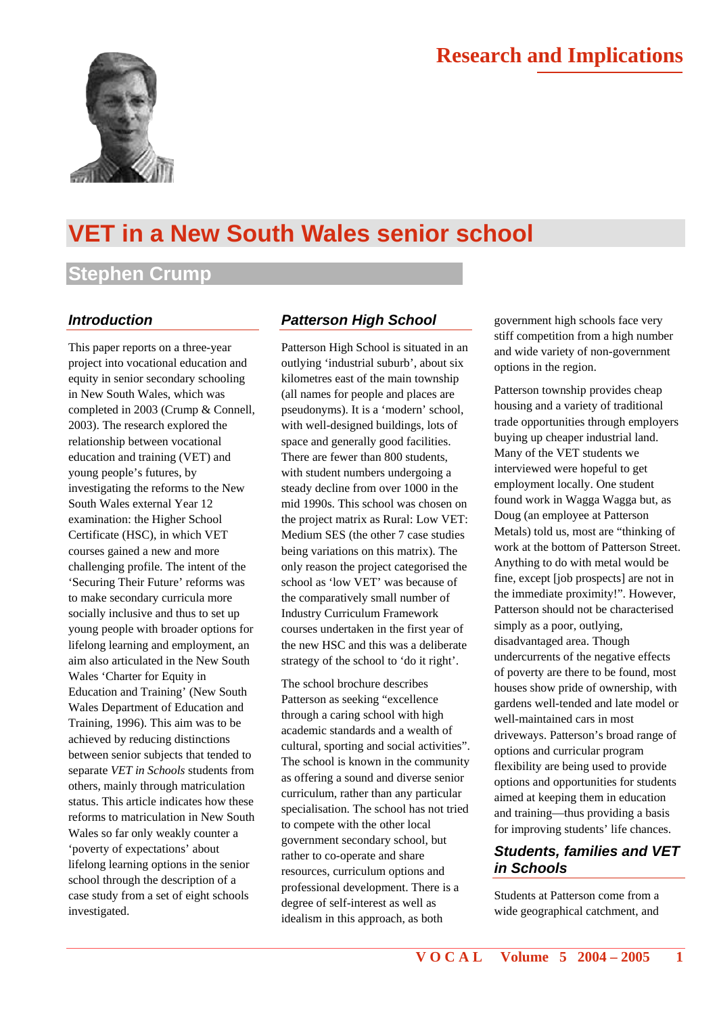

# **VET in a New South Wales senior school**

# **Stephen Crump**

#### *Introduction*

This paper reports on a three-year project into vocational education and equity in senior secondary schooling in New South Wales, which was completed in 2003 (Crump & Connell, 2003). The research explored the relationship between vocational education and training (VET) and young people's futures, by investigating the reforms to the New South Wales external Year 12 examination: the Higher School Certificate (HSC), in which VET courses gained a new and more challenging profile. The intent of the 'Securing Their Future' reforms was to make secondary curricula more socially inclusive and thus to set up young people with broader options for lifelong learning and employment, an aim also articulated in the New South Wales 'Charter for Equity in Education and Training' (New South Wales Department of Education and Training, 1996). This aim was to be achieved by reducing distinctions between senior subjects that tended to separate *VET in Schools* students from others, mainly through matriculation status. This article indicates how these reforms to matriculation in New South Wales so far only weakly counter a 'poverty of expectations' about lifelong learning options in the senior school through the description of a case study from a set of eight schools investigated.

### *Patterson High School*

Patterson High School is situated in an outlying 'industrial suburb', about six kilometres east of the main township (all names for people and places are pseudonyms). It is a 'modern' school, with well-designed buildings, lots of space and generally good facilities. There are fewer than 800 students, with student numbers undergoing a steady decline from over 1000 in the mid 1990s. This school was chosen on the project matrix as Rural: Low VET: Medium SES (the other 7 case studies being variations on this matrix). The only reason the project categorised the school as 'low VET' was because of the comparatively small number of Industry Curriculum Framework courses undertaken in the first year of the new HSC and this was a deliberate strategy of the school to 'do it right'.

The school brochure describes Patterson as seeking "excellence through a caring school with high academic standards and a wealth of cultural, sporting and social activities". The school is known in the community as offering a sound and diverse senior curriculum, rather than any particular specialisation. The school has not tried to compete with the other local government secondary school, but rather to co-operate and share resources, curriculum options and professional development. There is a degree of self-interest as well as idealism in this approach, as both

government high schools face very stiff competition from a high number and wide variety of non-government options in the region.

Patterson township provides cheap housing and a variety of traditional trade opportunities through employers buying up cheaper industrial land. Many of the VET students we interviewed were hopeful to get employment locally. One student found work in Wagga Wagga but, as Doug (an employee at Patterson Metals) told us, most are "thinking of work at the bottom of Patterson Street. Anything to do with metal would be fine, except [job prospects] are not in the immediate proximity!". However, Patterson should not be characterised simply as a poor, outlying, disadvantaged area. Though undercurrents of the negative effects of poverty are there to be found, most houses show pride of ownership, with gardens well-tended and late model or well-maintained cars in most driveways. Patterson's broad range of options and curricular program flexibility are being used to provide options and opportunities for students aimed at keeping them in education and training—thus providing a basis for improving students' life chances.

## *Students, families and VET in Schools*

Students at Patterson come from a wide geographical catchment, and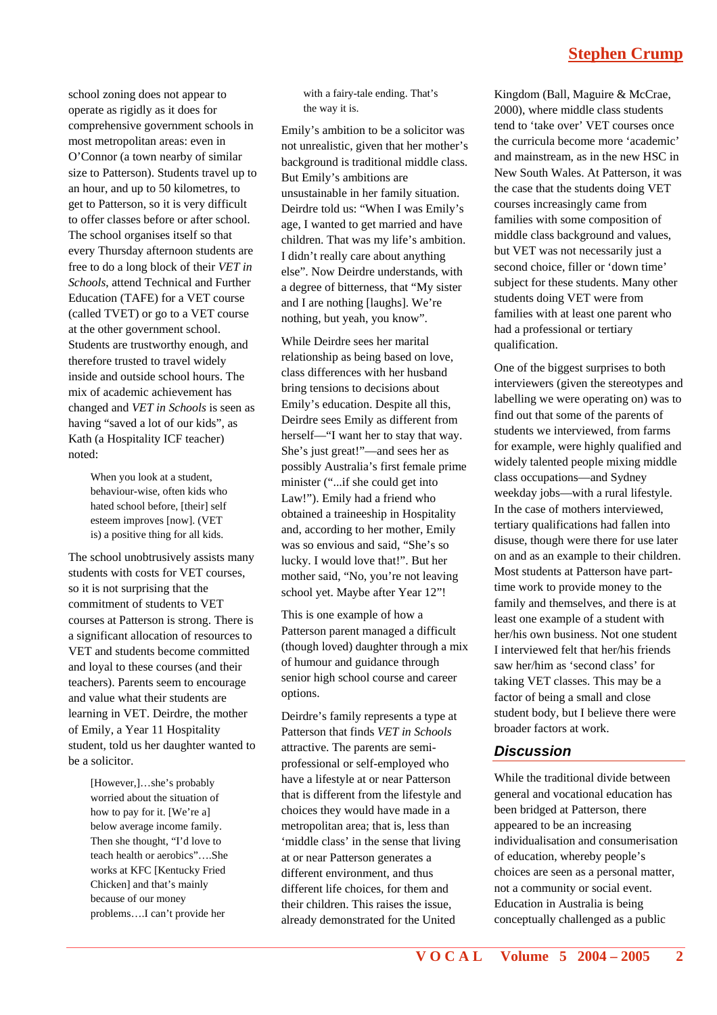# **Stephen Crump**

school zoning does not appear to operate as rigidly as it does for comprehensive government schools in most metropolitan areas: even in O'Connor (a town nearby of similar size to Patterson). Students travel up to an hour, and up to 50 kilometres, to get to Patterson, so it is very difficult to offer classes before or after school. The school organises itself so that every Thursday afternoon students are free to do a long block of their *VET in Schools*, attend Technical and Further Education (TAFE) for a VET course (called TVET) or go to a VET course at the other government school. Students are trustworthy enough, and therefore trusted to travel widely inside and outside school hours. The mix of academic achievement has changed and *VET in Schools* is seen as having "saved a lot of our kids", as Kath (a Hospitality ICF teacher) noted:

> When you look at a student, behaviour-wise, often kids who hated school before, [their] self esteem improves [now]. (VET is) a positive thing for all kids.

The school unobtrusively assists many students with costs for VET courses, so it is not surprising that the commitment of students to VET courses at Patterson is strong. There is a significant allocation of resources to VET and students become committed and loyal to these courses (and their teachers). Parents seem to encourage and value what their students are learning in VET. Deirdre, the mother of Emily, a Year 11 Hospitality student, told us her daughter wanted to be a solicitor.

> [However,]…she's probably worried about the situation of how to pay for it. [We're a] below average income family. Then she thought, "I'd love to teach health or aerobics"….She works at KFC [Kentucky Fried Chicken] and that's mainly because of our money problems….I can't provide her

with a fairy-tale ending. That's the way it is.

Emily's ambition to be a solicitor was not unrealistic, given that her mother's background is traditional middle class. But Emily's ambitions are unsustainable in her family situation. Deirdre told us: "When I was Emily's age, I wanted to get married and have children. That was my life's ambition. I didn't really care about anything else". Now Deirdre understands, with a degree of bitterness, that "My sister and I are nothing [laughs]. We're nothing, but yeah, you know".

While Deirdre sees her marital relationship as being based on love, class differences with her husband bring tensions to decisions about Emily's education. Despite all this, Deirdre sees Emily as different from herself—"I want her to stay that way. She's just great!"—and sees her as possibly Australia's first female prime minister ("...if she could get into Law!"). Emily had a friend who obtained a traineeship in Hospitality and, according to her mother, Emily was so envious and said, "She's so lucky. I would love that!". But her mother said, "No, you're not leaving school yet. Maybe after Year 12"!

This is one example of how a Patterson parent managed a difficult (though loved) daughter through a mix of humour and guidance through senior high school course and career options.

Deirdre's family represents a type at Patterson that finds *VET in Schools* attractive. The parents are semiprofessional or self-employed who have a lifestyle at or near Patterson that is different from the lifestyle and choices they would have made in a metropolitan area; that is, less than 'middle class' in the sense that living at or near Patterson generates a different environment, and thus different life choices, for them and their children. This raises the issue, already demonstrated for the United

Kingdom (Ball, Maguire & McCrae, 2000), where middle class students tend to 'take over' VET courses once the curricula become more 'academic' and mainstream, as in the new HSC in New South Wales. At Patterson, it was the case that the students doing VET courses increasingly came from families with some composition of middle class background and values, but VET was not necessarily just a second choice, filler or 'down time' subject for these students. Many other students doing VET were from families with at least one parent who had a professional or tertiary qualification.

One of the biggest surprises to both interviewers (given the stereotypes and labelling we were operating on) was to find out that some of the parents of students we interviewed, from farms for example, were highly qualified and widely talented people mixing middle class occupations—and Sydney weekday jobs—with a rural lifestyle. In the case of mothers interviewed, tertiary qualifications had fallen into disuse, though were there for use later on and as an example to their children. Most students at Patterson have parttime work to provide money to the family and themselves, and there is at least one example of a student with her/his own business. Not one student I interviewed felt that her/his friends saw her/him as 'second class' for taking VET classes. This may be a factor of being a small and close student body, but I believe there were broader factors at work.

#### *Discussion*

While the traditional divide between general and vocational education has been bridged at Patterson, there appeared to be an increasing individualisation and consumerisation of education, whereby people's choices are seen as a personal matter, not a community or social event. Education in Australia is being conceptually challenged as a public